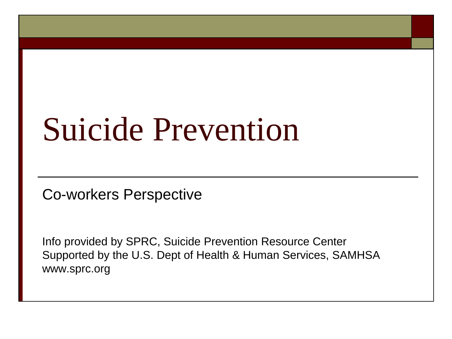# Suicide Prevention

Co-workers Perspective

Info provided by SPRC, Suicide Prevention Resource Center Supported by the U.S. Dept of Health & Human Services, SAMHSA www.sprc.org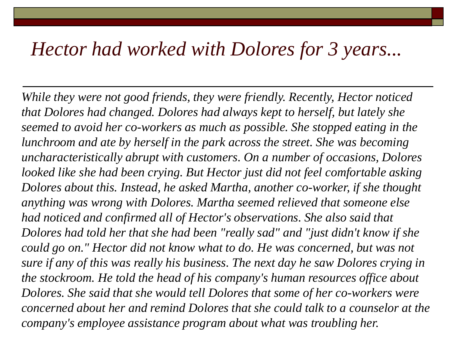#### *Hector had worked with Dolores for 3 years...*

*While they were not good friends, they were friendly. Recently, Hector noticed that Dolores had changed. Dolores had always kept to herself, but lately she seemed to avoid her co-workers as much as possible. She stopped eating in the lunchroom and ate by herself in the park across the street. She was becoming uncharacteristically abrupt with customers. On a number of occasions, Dolores looked like she had been crying. But Hector just did not feel comfortable asking Dolores about this. Instead, he asked Martha, another co-worker, if she thought anything was wrong with Dolores. Martha seemed relieved that someone else had noticed and confirmed all of Hector's observations. She also said that Dolores had told her that she had been "really sad" and "just didn't know if she could go on." Hector did not know what to do. He was concerned, but was not sure if any of this was really his business. The next day he saw Dolores crying in the stockroom. He told the head of his company's human resources office about Dolores. She said that she would tell Dolores that some of her co-workers were concerned about her and remind Dolores that she could talk to a counselor at the company's employee assistance program about what was troubling her.*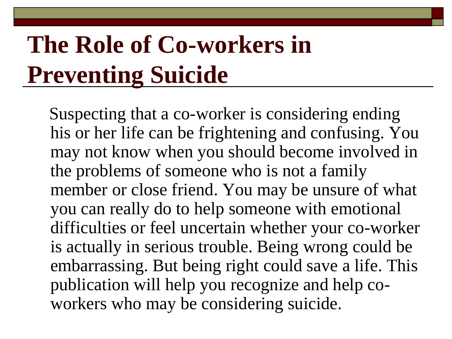## **The Role of Co-workers in Preventing Suicide**

Suspecting that a co-worker is considering ending his or her life can be frightening and confusing. You may not know when you should become involved in the problems of someone who is not a family member or close friend. You may be unsure of what you can really do to help someone with emotional difficulties or feel uncertain whether your co-worker is actually in serious trouble. Being wrong could be embarrassing. But being right could save a life. This publication will help you recognize and help coworkers who may be considering suicide.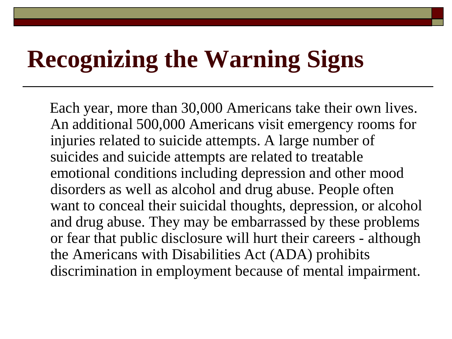#### **Recognizing the Warning Signs**

Each year, more than 30,000 Americans take their own lives. An additional 500,000 Americans visit emergency rooms for injuries related to suicide attempts. A large number of suicides and suicide attempts are related to treatable emotional conditions including depression and other mood disorders as well as alcohol and drug abuse. People often want to conceal their suicidal thoughts, depression, or alcohol and drug abuse. They may be embarrassed by these problems or fear that public disclosure will hurt their careers - although the Americans with Disabilities Act (ADA) prohibits discrimination in employment because of mental impairment.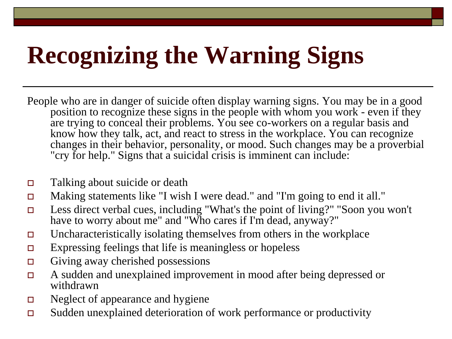# **Recognizing the Warning Signs**

- People who are in danger of suicide often display warning signs. You may be in a good position to recognize these signs in the people with whom you work - even if they are trying to conceal their problems. You see co-workers on a regular basis and know how they talk, act, and react to stress in the workplace. You can recognize changes in their behavior, personality, or mood. Such changes may be a proverbial "cry for help." Signs that a suicidal crisis is imminent can include:
- Talking about suicide or death
- Making statements like "I wish I were dead." and "I'm going to end it all."
- Less direct verbal cues, including "What's the point of living?" "Soon you won't have to worry about me" and "Who cares if I'm dead, anyway?"
- $\Box$  Uncharacteristically isolating themselves from others in the workplace
- $\Box$  Expressing feelings that life is meaningless or hopeless
- $\Box$  Giving away cherished possessions
- A sudden and unexplained improvement in mood after being depressed or withdrawn
- Neglect of appearance and hygiene
- Sudden unexplained deterioration of work performance or productivity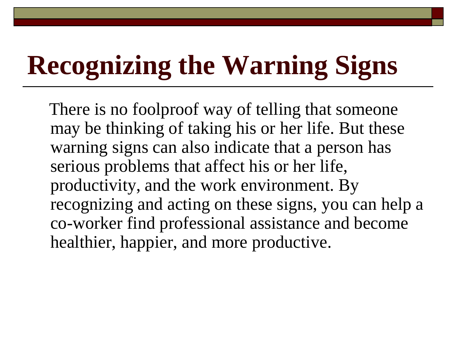# **Recognizing the Warning Signs**

There is no foolproof way of telling that someone may be thinking of taking his or her life. But these warning signs can also indicate that a person has serious problems that affect his or her life, productivity, and the work environment. By recognizing and acting on these signs, you can help a co-worker find professional assistance and become healthier, happier, and more productive.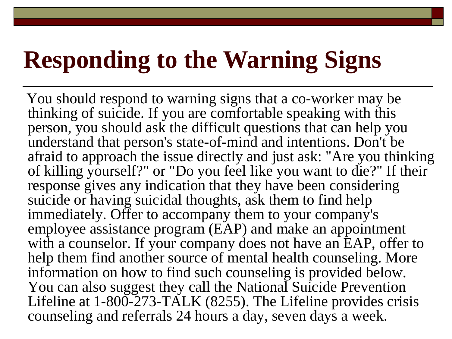#### **Responding to the Warning Signs**

You should respond to warning signs that a co-worker may be thinking of suicide. If you are comfortable speaking with this person, you should ask the difficult questions that can help you understand that person's state-of-mind and intentions. Don't be afraid to approach the issue directly and just ask: "Are you thinking of killing yourself?" or "Do you feel like you want to die?" If their response gives any indication that they have been considering suicide or having suicidal thoughts, ask them to find help immediately. Offer to accompany them to your company's employee assistance program (EAP) and make an appointment with a counselor. If your company does not have an EAP, offer to help them find another source of mental health counseling. More information on how to find such counseling is provided below. You can also suggest they call the National Suicide Prevention Lifeline at 1-800-273-TALK (8255). The Lifeline provides crisis counseling and referrals 24 hours a day, seven days a week.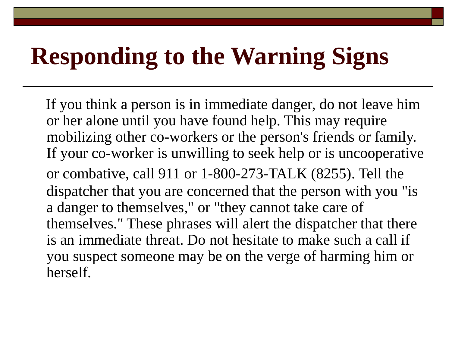### **Responding to the Warning Signs**

If you think a person is in immediate danger, do not leave him or her alone until you have found help. This may require mobilizing other co-workers or the person's friends or family. If your co-worker is unwilling to seek help or is uncooperative or combative, call 911 or 1-800-273-TALK (8255). Tell the dispatcher that you are concerned that the person with you "is a danger to themselves," or "they cannot take care of themselves." These phrases will alert the dispatcher that there is an immediate threat. Do not hesitate to make such a call if you suspect someone may be on the verge of harming him or herself.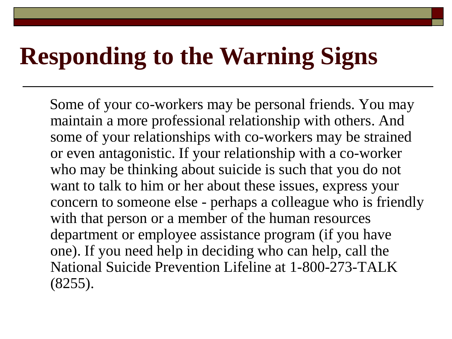#### **Responding to the Warning Signs**

Some of your co-workers may be personal friends. You may maintain a more professional relationship with others. And some of your relationships with co-workers may be strained or even antagonistic. If your relationship with a co-worker who may be thinking about suicide is such that you do not want to talk to him or her about these issues, express your concern to someone else - perhaps a colleague who is friendly with that person or a member of the human resources department or employee assistance program (if you have one). If you need help in deciding who can help, call the National Suicide Prevention Lifeline at 1-800-273-TALK (8255).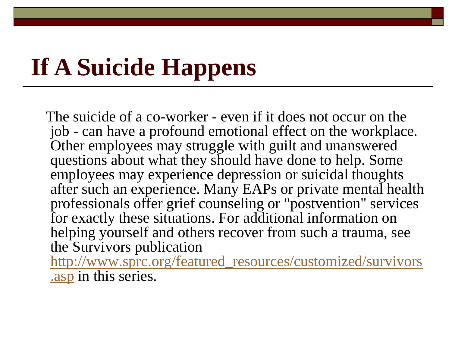## **If A Suicide Happens**

The suicide of a co-worker - even if it does not occur on the job - can have a profound emotional effect on the workplace. Other employees may struggle with guilt and unanswered questions about what they should have done to help. Some employees may experience depression or suicidal thoughts after such an experience. Many EAPs or private mental health professionals offer grief counseling or "postvention" services for exactly these situations. For additional information on helping yourself and others recover from such a trauma, see the Survivors publication [http://www.sprc.org/featured\\_resources/customized/survivors](http://www.sprc.org/featured_resources/customized/survivors.asp) .asp in this series.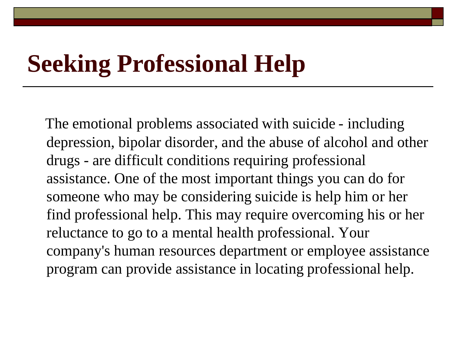#### **Seeking Professional Help**

The emotional problems associated with suicide - including depression, bipolar disorder, and the abuse of alcohol and other drugs - are difficult conditions requiring professional assistance. One of the most important things you can do for someone who may be considering suicide is help him or her find professional help. This may require overcoming his or her reluctance to go to a mental health professional. Your company's human resources department or employee assistance program can provide assistance in locating professional help.